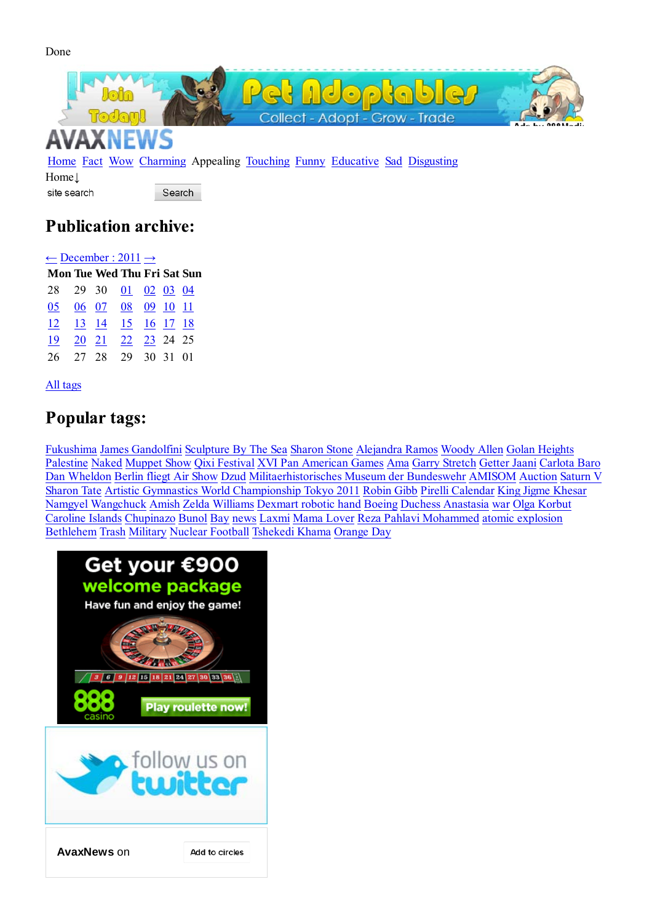Done



## **Publication archive:**

#### $\leftarrow$  December : 2011  $\rightarrow$

**Mon Tue Wed Thu Fri Sat Sun**

|  | 28 29 30 01 02 03 04       |  |  |
|--|----------------------------|--|--|
|  | 05 06 07 08 09 10 11       |  |  |
|  | 12  13  14  15  16  17  18 |  |  |
|  | 19 20 21 22 23 24 25       |  |  |
|  | 26 27 28 29 30 31 01       |  |  |

All tags

# **Popular tags:**

Fukushima James Gandolfini Sculpture By The Sea Sharon Stone Alejandra Ramos Woody Allen Golan Heights Palestine Naked Muppet Show Qixi Festival XVI Pan American Games Ama Garry Stretch Getter Jaani Carlota Baro Dan Wheldon Berlin fliegt Air Show Dzud Militaerhistorisches Museum der Bundeswehr AMISOM Auction Saturn V Sharon Tate Artistic Gymnastics World Championship Tokyo 2011 Robin Gibb Pirelli Calendar King Jigme Khesar Namgyel Wangchuck Amish Zelda Williams Dexmart robotic hand Boeing Duchess Anastasia war Olga Korbut Caroline Islands Chupinazo Bunol Bay news Laxmi Mama Lover Reza Pahlavi Mohammed atomic explosion Bethlehem Trash Military Nuclear Football Tshekedi Khama Orange Day

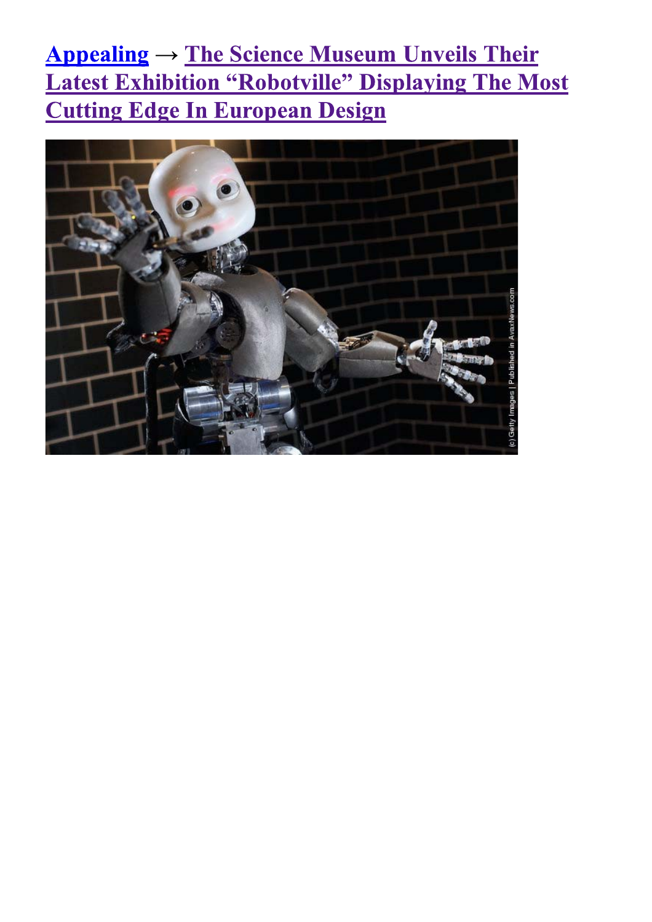$\bf{Appending} \rightarrow \bf{The \; Science \; Museum \; Unveils \; Their}$ Latest Exhibition "Robotville" Displaying The Most **Cutting Edge In European Design** 

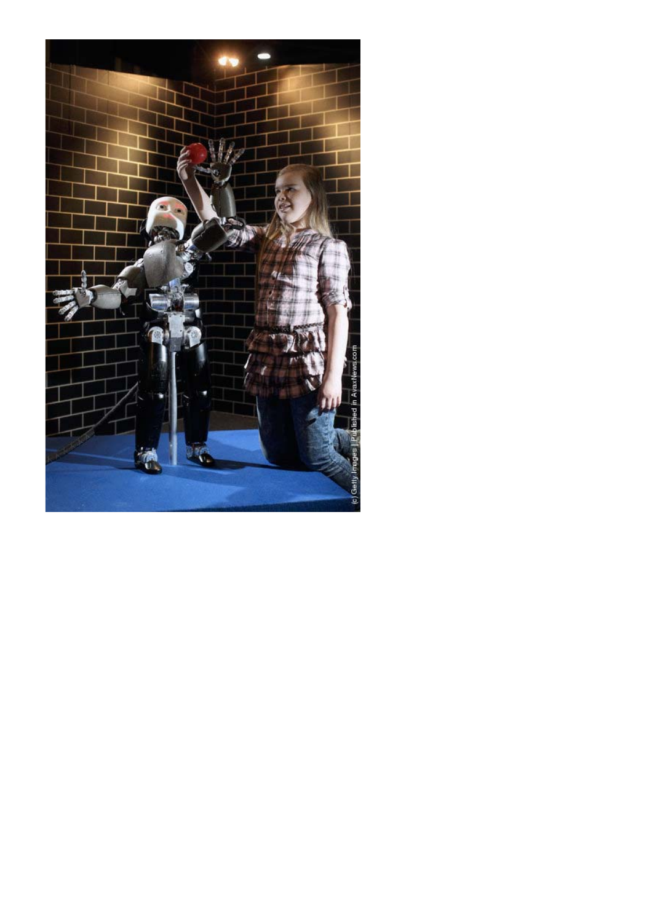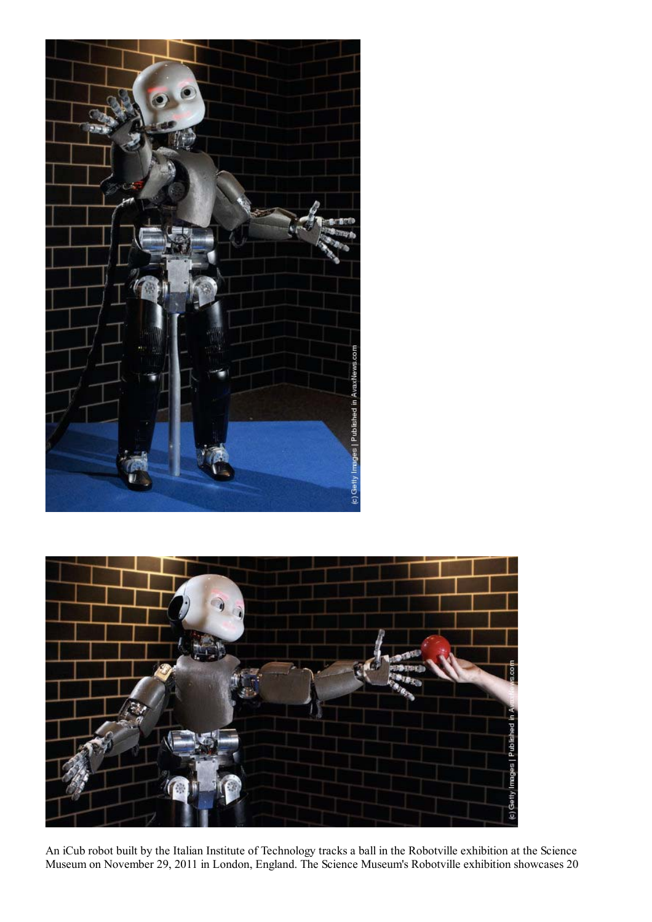



An iCub robot built by the Italian Institute of Technology tracks a ball in the Robotville exhibition at the Science Museum on November 29, 2011 in London, England. The Science Museum's Robotville exhibition showcases 20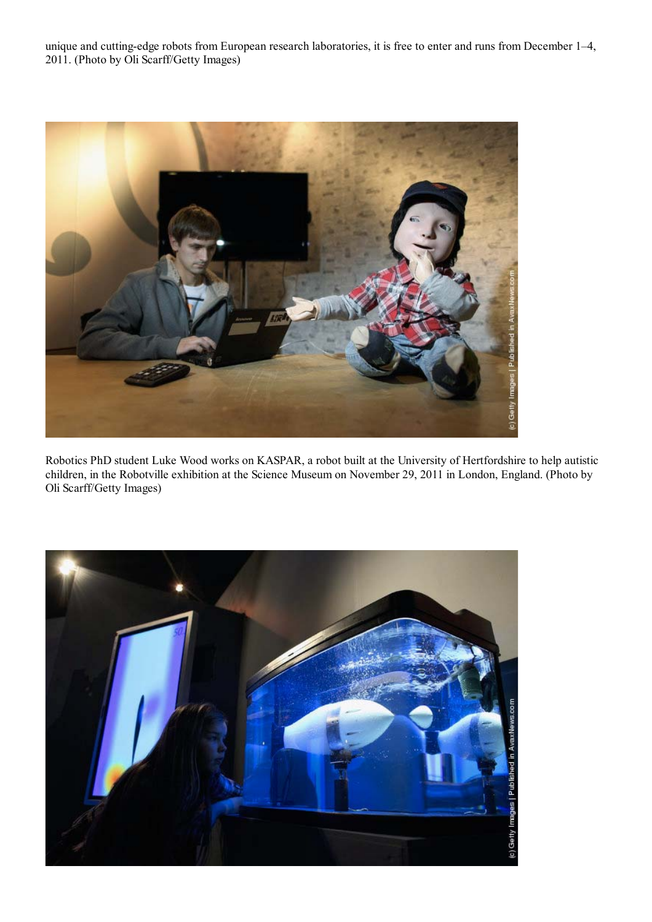unique and cutting-edge robots from European research laboratories, it is free to enter and runs from December 1–4, 2011. (Photo by Oli Scarff/Getty Images)



Robotics PhD student Luke Wood works on KASPAR, a robot built at the University of Hertfordshire to help autistic children, in the Robotville exhibition at the Science Museum on November 29, 2011 in London, England. (Photo by Oli Scarff/Getty Images)

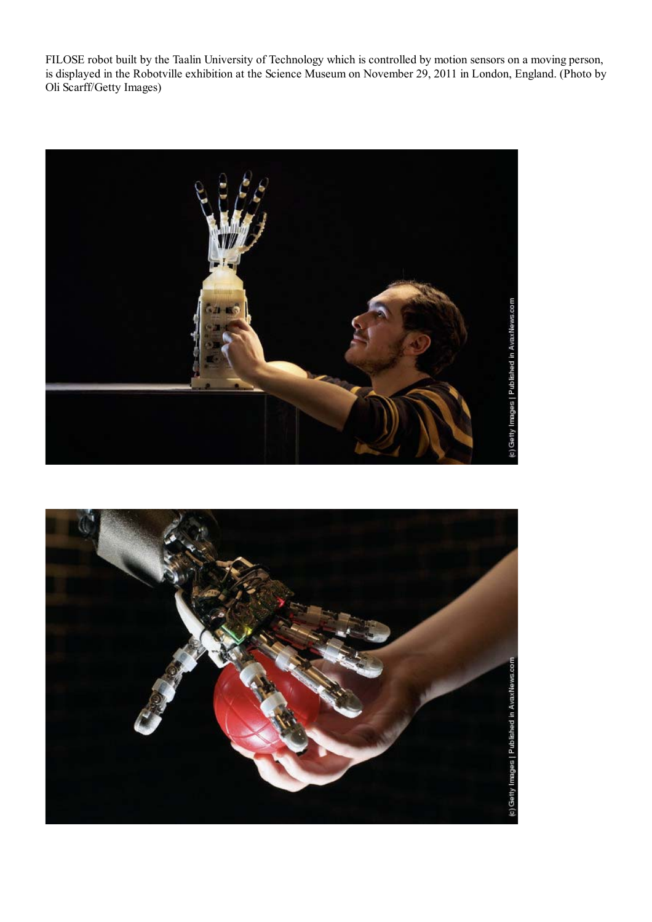FILOSE robot built by the Taalin University of Technology which is controlled by motion sensors on a moving person, is displayed in the Robotville exhibition at the Science Museum on November 29, 2011 in London, England. (Photo by Oli Scarff/Getty Images)



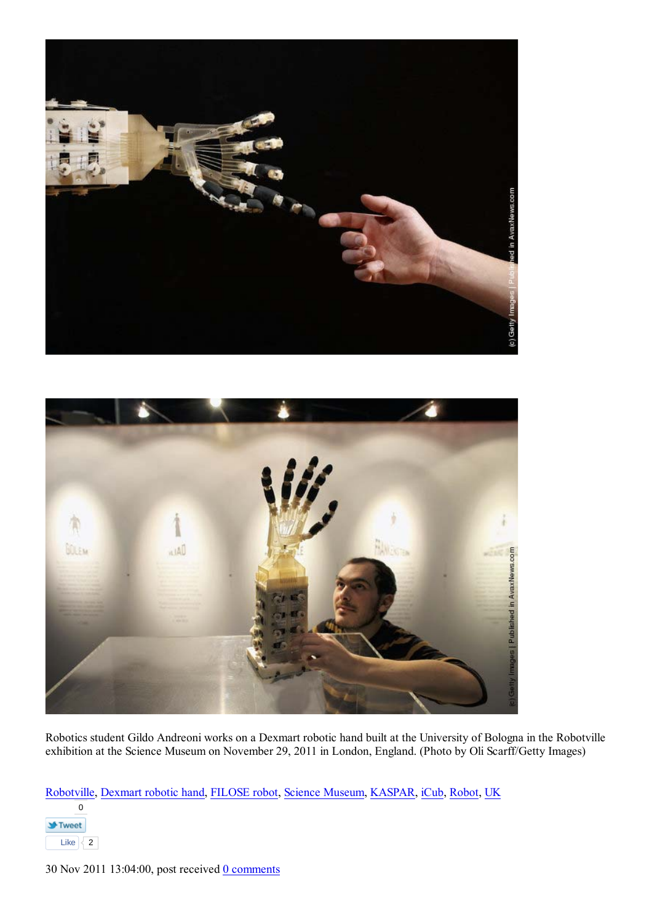



Robotics student Gildo Andreoni works on a Dexmart robotic hand built at the University of Bologna in the Robotville exhibition at the Science Museum on November 29, 2011 in London, England. (Photo by Oli Scarff/Getty Images)

Robotville, Dexmart robotic hand, FILOSE robot, Science Museum, KASPAR, iCub, Robot, UK



30 Nov 2011 13:04:00, post received 0 comments